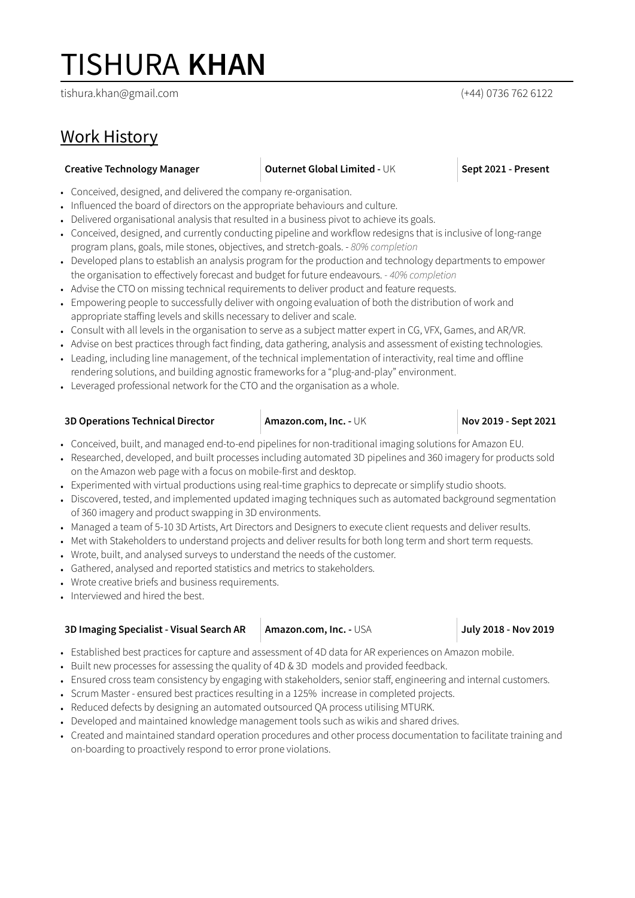# TISHURA **KHAN**

tishura.khan@gmail.com (+44) 0736 762 6122

## Work History

### **Creative Technology Manager Duternet Global Limited - UK <b>Sept 2021 - Present**

- Conceived, designed, and delivered the company re-organisation.
- Influenced the board of directors on the appropriate behaviours and culture.
- Delivered organisational analysis that resulted in a business pivot to achieve its goals.
- Conceived, designed, and currently conducting pipeline and workflow redesigns that is inclusive of long-range program plans, goals, mile stones, objectives, and stretch-goals. - *80% completion*
- Developed plans to establish an analysis program for the production and technology departments to empower the organisation to effectively forecast and budget for future endeavours. *- 40% completion*
- Advise the CTO on missing technical requirements to deliver product and feature requests.
- Empowering people to successfully deliver with ongoing evaluation of both the distribution of work and appropriate staffing levels and skills necessary to deliver and scale.
- Consult with all levels in the organisation to serve as a subject matter expert in CG, VFX, Games, and AR/VR.
- Advise on best practices through fact finding, data gathering, analysis and assessment of existing technologies.
- Leading, including line management, of the technical implementation of interactivity, real time and offline rendering solutions, and building agnostic frameworks for a "plug-and-play" environment.
- Leveraged professional network for the CTO and the organisation as a whole.

### **3D Operations Technical Director Amazon.com, Inc. -** UK **Nov 2019 - Sept 2021**

- Conceived, built, and managed end-to-end pipelines for non-traditional imaging solutions for Amazon EU.
- Researched, developed, and built processes including automated 3D pipelines and 360 imagery for products sold on the Amazon web page with a focus on mobile-first and desktop.
- Experimented with virtual productions using real-time graphics to deprecate or simplify studio shoots.
- Discovered, tested, and implemented updated imaging techniques such as automated background segmentation of 360 imagery and product swapping in 3D environments.
- Managed a team of 5-10 3D Artists, Art Directors and Designers to execute client requests and deliver results.
- Met with Stakeholders to understand projects and deliver results for both long term and short term requests.
- Wrote, built, and analysed surveys to understand the needs of the customer.
- Gathered, analysed and reported statistics and metrics to stakeholders.
- Wrote creative briefs and business requirements.
- Interviewed and hired the best.

| 3D Imaging Specialist - Visual Search AR | Amazon.com, Inc. - USA | July 2018 - Nov 2019 |
|------------------------------------------|------------------------|----------------------|
|                                          |                        |                      |

- Established best practices for capture and assessment of 4D data for AR experiences on Amazon mobile.
- Built new processes for assessing the quality of 4D & 3D models and provided feedback.
- Ensured cross team consistency by engaging with stakeholders, senior staff, engineering and internal customers.
- Scrum Master ensured best practices resulting in a 125% increase in completed projects.
- Reduced defects by designing an automated outsourced QA process utilising MTURK.
- Developed and maintained knowledge management tools such as wikis and shared drives.
- Created and maintained standard operation procedures and other process documentation to facilitate training and on-boarding to proactively respond to error prone violations.